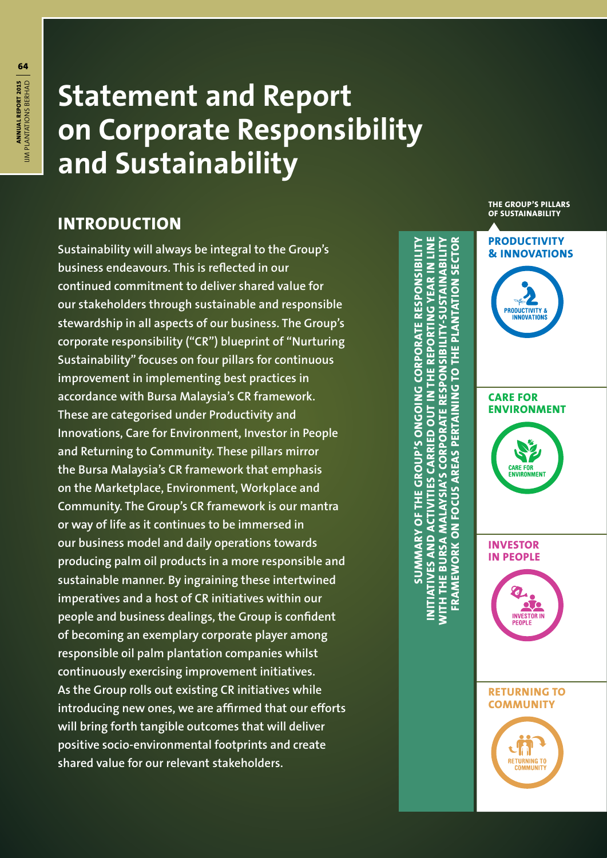# **Statement and Report on Corporate Responsibility and Sustainability**

# **INTRODUCTION**

**Sustainability will always be integral to the Group's business endeavours. This is reflected in our continued commitment to deliver shared value for our stakeholders through sustainable and responsible stewardship in all aspects of our business. The Group's corporate responsibility ("CR") blueprint of "Nurturing Sustainability" focuses on four pillars for continuous improvement in implementing best practices in accordance with Bursa Malaysia's CR framework. These are categorised under Productivity and Innovations, Care for Environment, Investor in People and Returning to Community. These pillars mirror the Bursa Malaysia's CR framework that emphasis on the Marketplace, Environment, Workplace and Community. The Group's CR framework is our mantra or way of life as it continues to be immersed in our business model and daily operations towards producing palm oil products in a more responsible and sustainable manner. By ingraining these intertwined imperatives and a host of CR initiatives within our people and business dealings, the Group is confident of becoming an exemplary corporate player among responsible oil palm plantation companies whilst continuously exercising improvement initiatives. As the Group rolls out existing CR initiatives while introducing new ones, we are affirmed that our efforts will bring forth tangible outcomes that will deliver positive socio-environmental footprints and create shared value for our relevant stakeholders.**

**SUMMARY OF THE GROUP'S ONGOING CORPORATE RESPONSIBILITY INITIATIVES AND ACTIVITIES CARRIED OUT IN THE REPORTING YEAR IN LINE WITH THE BURSA MALAYSIA'S CORPORATE RESPONSIBILITY-SUSTAINABILITY SECTOR FRAMEWORK ON FOCUS AREAS PERTAINING TO THE PLANTATION SECTOR WITH THE BURSA MALAYSIA'S CORPORATE RESPONSIBILITY-SUSTAINABILITY SUMMARY OF THE GROUP'S ONGOING CORPORATE RESPONSIBILITY** INITIATIVES AND ACTIVITIES CARRIED OUT IN THE REPORTING YEAR IN LINI FRAMEWORK ON FOCUS AREAS PERTAINING TO THE PLANTATION

**PRODUCTIVITY 8** INNOVATIO

**PRODUCTIVITY & INNOVATIONS**

**THE GROUP'S PILLARS OF SUSTAINABILITY**

**CARE FOR ENVIRONMENT**



**INVESTOR IN PEOPLE**





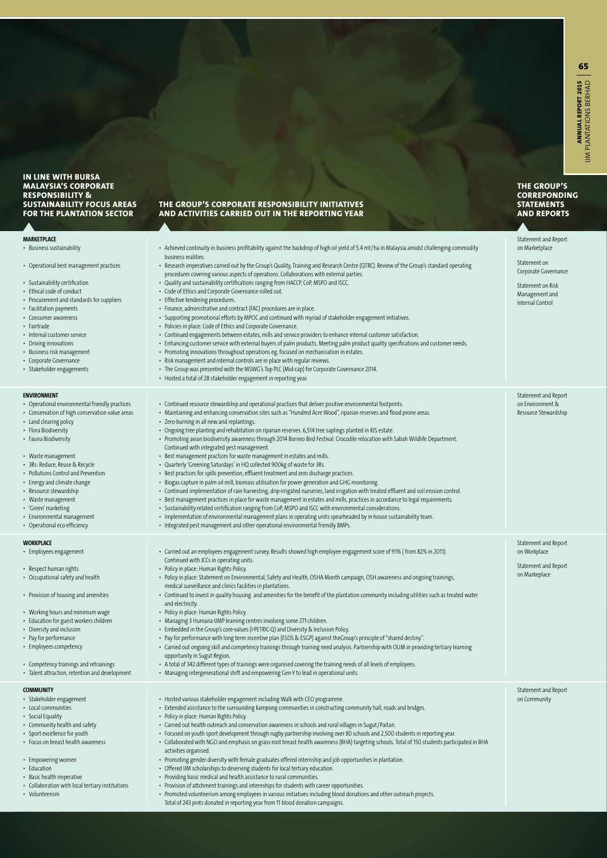**THE GROUP'S CORREPONDING STATEMENTS AND REPORTS**

Statement and Report on Marketplace

#### **IN LINE WITH BURSA MALAYSIA'S CORPORATE RESPONSIBILITY & SUSTAINABILITY FOCUS AREAS FOR THE PLANTATION SECTOR**

**MARKETPLACE** • Business sustainability • Operational best managem • Sustainability certification • Ethical code of conduct • Procurement and standards • Facilitation payments • Consumer awareness • Fairtrade • Internal customer service • Driving innovations • Business risk management • Corporate Governance • Stakeholder engagements • Achieved continuity in business profitability against the backdrop of high oil yield of 5.4 mt/ha in Malaysia amidst challenging commodity business realities. **ENVIRONMENT** • Operational environmental

## • Conservation of high conse

- Land clearing policy • Flora Biodiversity
- Fauna Biodiversity
- Waste management
- 3Rs: Reduce, Reuse & Recycle
- Pollutions Control and Prevention
- Energy and climate change
- Resource stewardship
- Waste management
- • 'Green' marketing
- $\cdot$  Environmental manageme • Operational eco-efficiency
- **WORKPLACE**
- • Employees engagement
- Respect human rights
- $\cdot$  Occupational safety and he

• Provision of housing and ar

- $\cdot$  Working hours and minimum
- Education for guest worker
- Diversity and inclusion
- Pay for performance
- Employees competency
- Competency trainings and r
- $\cdot$  Talent attraction, retention

### **COMMUNITY**

- • Stakeholder engagement • Local communities
- Social Equality
- $\cdot$  Community health and safe
- Sport excellence for youth
- Focus on breast health awa
- 
- Empowering women
- Education
- • Basic health imperative
- $\cdot$  Collaboration with local ter
- Volunteerism

### **THE GROUP'S CORPORATE RESPONSIBILITY INITIATIVES AND ACTIVITIES CARRIED OUT IN THE REPORTING YEAR**

| ent practices<br>s for suppliers                                            | business realities.<br>• Research imperatives carried out by the Group's Quality, Training and Research Centre (QTRC). Review of the Group's standard operating<br>procedures covering various aspects of operations. Collaborations with external parties.<br>• Quality and sustainability certifications ranging from HACCP, CoP, MSPO and ISCC.<br>• Code of Ethics and Corporate Governance rolled out.<br>• Effective tendering procedures.<br>• Finance, administrative and contract (FAC) procedures are in place.<br>- Supporting promotional efforts by MPOC and continued with myriad of stakeholder engagement initiatives.<br>• Policies in place: Code of Ethics and Corporate Governance.<br>• Continued engagements between estates, mills and service providers to enhance internal customer satisfaction.<br>• Enhancing customer service with external buyers of palm products. Meeting palm product quality specifications and customer needs.<br>• Promoting innovations throughout operations eg. focused on mechanisation in estates.<br>· Risk management and internal controls are in place with regular reviews.<br>• The Group was presented with the MSWG's Top PLC (Mid-cap) for Corporate Governance 2014.<br>• Hosted a total of 28 stakeholder engagement in reporting year.                                                                                                                                                                                                                            | Statement on<br>Corporate Governance<br>Statement on Risk<br>Management and<br>Internal Control |
|-----------------------------------------------------------------------------|----------------------------------------------------------------------------------------------------------------------------------------------------------------------------------------------------------------------------------------------------------------------------------------------------------------------------------------------------------------------------------------------------------------------------------------------------------------------------------------------------------------------------------------------------------------------------------------------------------------------------------------------------------------------------------------------------------------------------------------------------------------------------------------------------------------------------------------------------------------------------------------------------------------------------------------------------------------------------------------------------------------------------------------------------------------------------------------------------------------------------------------------------------------------------------------------------------------------------------------------------------------------------------------------------------------------------------------------------------------------------------------------------------------------------------------------------------------------------------------------------------------------------------------|-------------------------------------------------------------------------------------------------|
| friendly practices<br>rvation value areas<br>le.<br>ention<br>nt            | • Continued resource stewardship and operational practices that deliver positive environmental footprints.<br>• Maintaining and enhancing conservation sites such as "Hundred Acre Wood", riparian reserves and flood prone areas.<br>• Zero-burning in all new and replantings.<br>Ongoing tree planting and rehabitation on riparian reserves. 6,514 tree saplings planted in RJS estate.<br>• Promoting avian biodiversity awareness through 2014 Borneo Bird Festival. Crocodile relocation with Sabah Wildlife Department.<br>Continued with integrated pest management.<br>• Best management practices for waste management in estates and mills.<br>• Quarterly 'Greening Saturdays' in HQ collected 900kg of waste for 3Rs.<br>· Best practices for spills prevention, effluent treatment and zero discharge practices.<br>• Biogas capture in palm oil mill, biomass utilisation for power generation and GHG monitoring.<br>· Continued implementation of rain harvesting, drip-irrigated nurseries, land irrigation with treated effluent and soil erosion control.<br>• Best management practices in place for waste management in estates and mills, practices in accordance to legal requirements.<br>• Sustainability-related certification ranging from CoP, MSPO and ISCC with environmental considerations.<br>• Implementation of environmental management plans in operating units spearheaded by in-house sustainability team.<br>• Integrated pest management and other operational environmental friendly BMPs. | Statement and Report<br>on Environment &<br>Resource Stewardship                                |
| alth<br>nenities<br>ım wage<br>s children<br>retrainings<br>and development | • Carried out an employees engagement survey. Results showed high employee engagement score of 91% (from 82% in 2011).<br>Continued with JCCs in operating units.<br>• Policy in place: Human Rights Policy.<br>• Policy in place: Statement on Environmental, Safety and Health, OSHA Month campaign, OSH awareness and ongoing trainings,<br>medical surveillance and clinics facilities in plantations.<br>• Continued to invest in quality housing and amenities for the benefit of the plantation community including utilities such as treated water<br>and electricity.<br>• Policy in place: Human Rights Policy.<br>• Managing 3 Humana-IJMP learning centres involving some 271 children.<br>• Embedded in the Group's core-values (I-PETRIC-Q) and Diversity & Inclusion Policy.<br>• Pay for performance with long term incentive plan (ESOS & ESGP) against theGroup's principle of "shared destiny".<br>• Carried out ongoing skill and competency trainings through training need analysis. Partnership with OUM in providing tertiary learning<br>opportunity in Sugut Region.<br>• A total of 342 different types of trainings were organised covering the training needs of all levels of employees.<br>• Managing intergenerational shift and empowering Gen-Y to lead in operational units.                                                                                                                                                                                                                        | Statement and Report<br>on Workplace<br>Statement and Report<br>on Markeplace                   |
| ety<br>reness<br>tiary institutions                                         | • Hosted various stakeholder engagement including Walk with CEO programme.<br>- Extended assistance to the surrounding kampong communities in constructing community hall, roads and bridges.<br>• Policy in place: Human Rights Policy.<br>- Carried out health outreach and conservation awareness in schools and rural villages in Sugut/Paitan.<br>- Focused on youth sport development through rugby partnership involving over 80 schools and 2,500 students in reporting year.<br>Collaborated with NGO and emphasis on grass-root breast health awareness (BHA) targeting schools. Total of 150 students participated in BHA<br>$\bullet$<br>activities organised.<br>Promoting gender diversity with female graduates offered internship and job opportunities in plantation.<br>٠<br>• Offered IJM scholarships to deserving students for local tertiary education.<br>• Providing basic medical and health assistance to rural communities.<br>• Provision of attchment trainings and internships for students with career opportunities.<br>• Promoted volunteerism among employees in various initiatives including blood donations and other outreach projects.<br>Total of 243 pints donated in reporting year from 11 blood donation campaigns.                                                                                                                                                                                                                                                                        | Statement and Report<br>on Community                                                            |